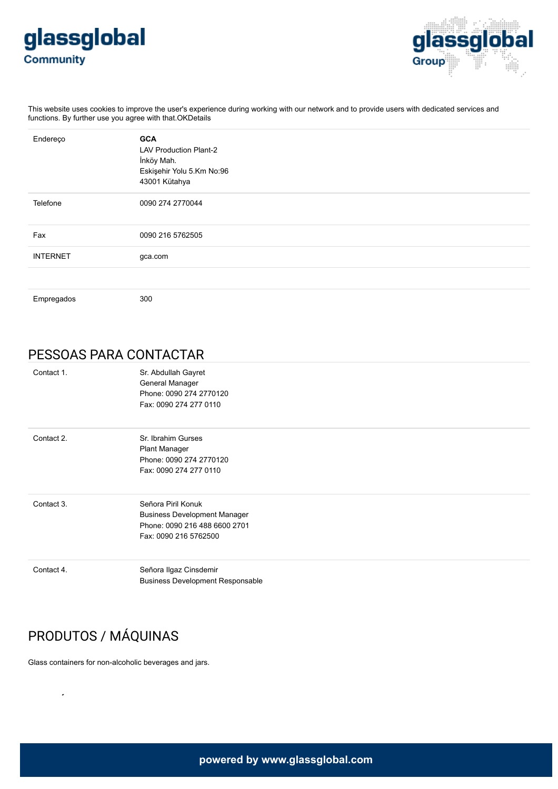



This website uses cookies to improve the user's experience during working with our network and to provide users with dedicated services and functions. By further use you agree with that.OKDetails

| Endereço        | <b>GCA</b><br><b>LAV Production Plant-2</b><br>İnköy Mah.<br>Eskişehir Yolu 5.Km No:96<br>43001 Kütahya |  |
|-----------------|---------------------------------------------------------------------------------------------------------|--|
| Telefone        | 0090 274 2770044                                                                                        |  |
| Fax             | 0090 216 5762505                                                                                        |  |
| <b>INTERNET</b> | gca.com                                                                                                 |  |
|                 |                                                                                                         |  |
| Empregados      | 300                                                                                                     |  |

## PESSOAS PARA CONTACTAR

| Contact 1. | Sr. Abdullah Gayret<br>General Manager<br>Phone: 0090 274 2770120<br>Fax: 0090 274 277 0110 |  |
|------------|---------------------------------------------------------------------------------------------|--|
| Contact 2. | Sr. Ibrahim Gurses                                                                          |  |
|            | <b>Plant Manager</b>                                                                        |  |
|            | Phone: 0090 274 2770120                                                                     |  |
|            | Fax: 0090 274 277 0110                                                                      |  |
| Contact 3. | Señora Piril Konuk                                                                          |  |
|            | <b>Business Development Manager</b>                                                         |  |
|            | Phone: 0090 216 488 6600 2701                                                               |  |
|            | Fax: 0090 216 5762500                                                                       |  |
| Contact 4. | Señora Ilgaz Cinsdemir                                                                      |  |
|            | <b>Business Development Responsable</b>                                                     |  |

## PRODUTOS / MÁQUINAS

Glass containers for non-alcoholic beverages and jars.